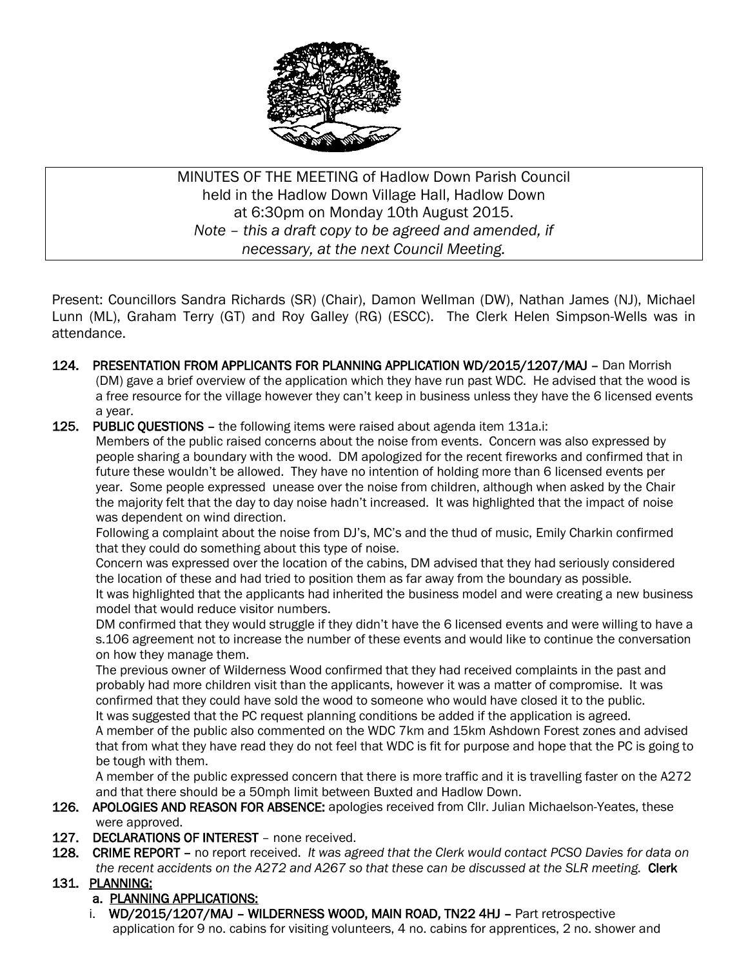

MINUTES OF THE MEETING of Hadlow Down Parish Council held in the Hadlow Down Village Hall, Hadlow Down at 6:30pm on Monday 10th August 2015. *Note – this a draft copy to be agreed and amended, if necessary, at the next Council Meeting.*

Present: Councillors Sandra Richards (SR) (Chair), Damon Wellman (DW), Nathan James (NJ), Michael Lunn (ML), Graham Terry (GT) and Roy Galley (RG) (ESCC). The Clerk Helen Simpson-Wells was in attendance.

- 124. PRESENTATION FROM APPLICANTS FOR PLANNING APPLICATION WD/2015/1207/MAJ Dan Morrish (DM) gave a brief overview of the application which they have run past WDC. He advised that the wood is a free resource for the village however they can't keep in business unless they have the 6 licensed events a year.
- 125. PUBLIC QUESTIONS the following items were raised about agenda item 131a.i:

 Members of the public raised concerns about the noise from events. Concern was also expressed by people sharing a boundary with the wood. DM apologized for the recent fireworks and confirmed that in future these wouldn't be allowed. They have no intention of holding more than 6 licensed events per year. Some people expressed unease over the noise from children, although when asked by the Chair the majority felt that the day to day noise hadn't increased. It was highlighted that the impact of noise was dependent on wind direction.

 Following a complaint about the noise from DJ's, MC's and the thud of music, Emily Charkin confirmed that they could do something about this type of noise.

 Concern was expressed over the location of the cabins, DM advised that they had seriously considered the location of these and had tried to position them as far away from the boundary as possible. It was highlighted that the applicants had inherited the business model and were creating a new business model that would reduce visitor numbers.

 DM confirmed that they would struggle if they didn't have the 6 licensed events and were willing to have a s.106 agreement not to increase the number of these events and would like to continue the conversation on how they manage them.

 The previous owner of Wilderness Wood confirmed that they had received complaints in the past and probably had more children visit than the applicants, however it was a matter of compromise. It was confirmed that they could have sold the wood to someone who would have closed it to the public. It was suggested that the PC request planning conditions be added if the application is agreed.

 A member of the public also commented on the WDC 7km and 15km Ashdown Forest zones and advised that from what they have read they do not feel that WDC is fit for purpose and hope that the PC is going to be tough with them.

 A member of the public expressed concern that there is more traffic and it is travelling faster on the A272 and that there should be a 50mph limit between Buxted and Hadlow Down.

- 126. APOLOGIES AND REASON FOR ABSENCE: apologies received from Cllr. Julian Michaelson-Yeates, these were approved.
- 127. DECLARATIONS OF INTEREST none received.
- 128. CRIME REPORT no report received. *It was agreed that the Clerk would contact PCSO Davies for data on the recent accidents on the A272 and A267 so that these can be discussed at the SLR meeting.* Clerk
- 131. PLANNING:

# a. PLANNING APPLICATIONS:

 i. WD/2015/1207/MAJ – WILDERNESS WOOD, MAIN ROAD, TN22 4HJ – Part retrospective application for 9 no. cabins for visiting volunteers, 4 no. cabins for apprentices, 2 no. shower and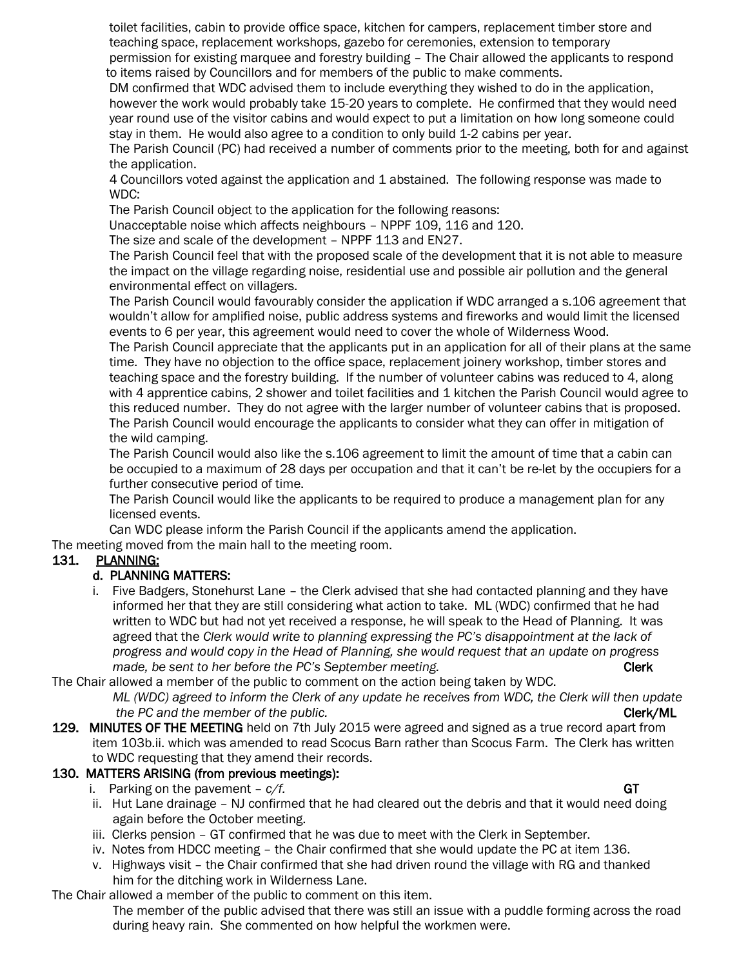toilet facilities, cabin to provide office space, kitchen for campers, replacement timber store and teaching space, replacement workshops, gazebo for ceremonies, extension to temporary permission for existing marquee and forestry building – The Chair allowed the applicants to respond

 to items raised by Councillors and for members of the public to make comments. DM confirmed that WDC advised them to include everything they wished to do in the application, however the work would probably take 15-20 years to complete. He confirmed that they would need

 year round use of the visitor cabins and would expect to put a limitation on how long someone could stay in them. He would also agree to a condition to only build 1-2 cabins per year.

 The Parish Council (PC) had received a number of comments prior to the meeting, both for and against the application.

 4 Councillors voted against the application and 1 abstained. The following response was made to WDC:

The Parish Council object to the application for the following reasons:

Unacceptable noise which affects neighbours – NPPF 109, 116 and 120.

The size and scale of the development – NPPF 113 and EN27.

 The Parish Council feel that with the proposed scale of the development that it is not able to measure the impact on the village regarding noise, residential use and possible air pollution and the general environmental effect on villagers.

The Parish Council would favourably consider the application if WDC arranged a s.106 agreement that wouldn't allow for amplified noise, public address systems and fireworks and would limit the licensed events to 6 per year, this agreement would need to cover the whole of Wilderness Wood.

 The Parish Council appreciate that the applicants put in an application for all of their plans at the same time. They have no objection to the office space, replacement joinery workshop, timber stores and teaching space and the forestry building. If the number of volunteer cabins was reduced to 4, along with 4 apprentice cabins, 2 shower and toilet facilities and 1 kitchen the Parish Council would agree to this reduced number. They do not agree with the larger number of volunteer cabins that is proposed. The Parish Council would encourage the applicants to consider what they can offer in mitigation of the wild camping.

 The Parish Council would also like the s.106 agreement to limit the amount of time that a cabin can be occupied to a maximum of 28 days per occupation and that it can't be re-let by the occupiers for a further consecutive period of time.

 The Parish Council would like the applicants to be required to produce a management plan for any licensed events.

Can WDC please inform the Parish Council if the applicants amend the application.

The meeting moved from the main hall to the meeting room.

# 131. PLANNING:

# d. PLANNING MATTERS:

 i. Five Badgers, Stonehurst Lane – the Clerk advised that she had contacted planning and they have informed her that they are still considering what action to take. ML (WDC) confirmed that he had written to WDC but had not yet received a response, he will speak to the Head of Planning. It was agreed that the *Clerk would write to planning expressing the PC's disappointment at the lack of progress and would copy in the Head of Planning, she would request that an update on progress made, be sent to her before the PC's September meeting.* Clerk

The Chair allowed a member of the public to comment on the action being taken by WDC.

 *ML (WDC) agreed to inform the Clerk of any update he receives from WDC, the Clerk will then update the PC and the member of the public.* Clerk/ML **Clerk/ML** 

129. MINUTES OF THE MEETING held on 7th July 2015 were agreed and signed as a true record apart from item 103b.ii. which was amended to read Scocus Barn rather than Scocus Farm. The Clerk has written to WDC requesting that they amend their records.

# 130. MATTERS ARISING (from previous meetings):

- i. Parking on the pavement  $c/f$ . GT
	-
- ii. Hut Lane drainage NJ confirmed that he had cleared out the debris and that it would need doing again before the October meeting.
- iii. Clerks pension GT confirmed that he was due to meet with the Clerk in September.
- iv. Notes from HDCC meeting the Chair confirmed that she would update the PC at item 136.
- v. Highways visit the Chair confirmed that she had driven round the village with RG and thanked him for the ditching work in Wilderness Lane.

The Chair allowed a member of the public to comment on this item.

 The member of the public advised that there was still an issue with a puddle forming across the road during heavy rain. She commented on how helpful the workmen were.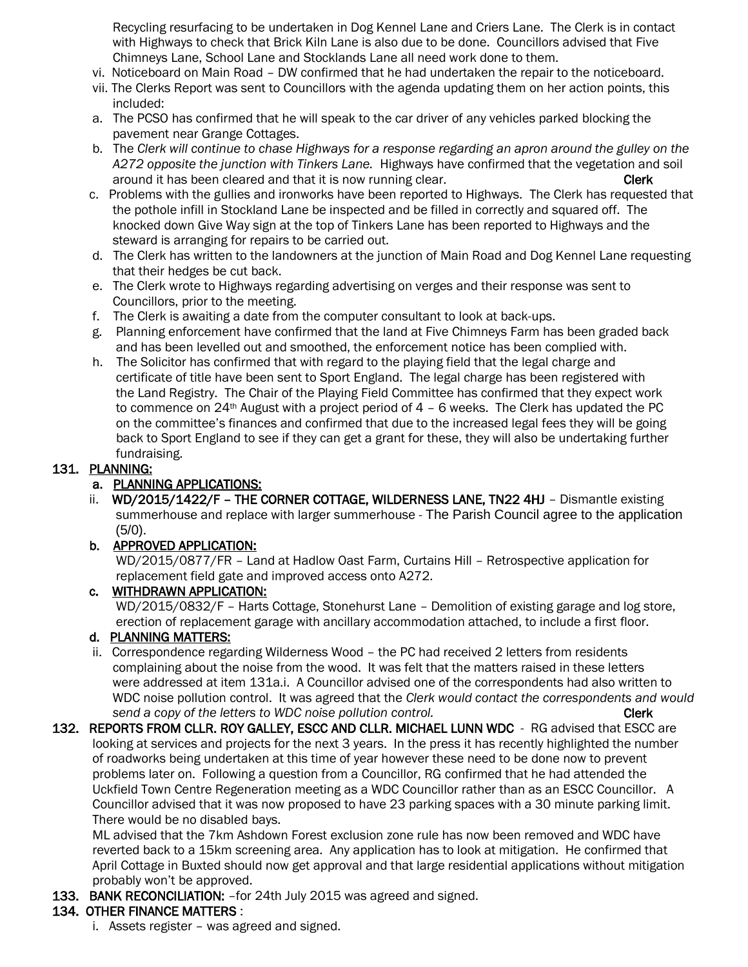Recycling resurfacing to be undertaken in Dog Kennel Lane and Criers Lane. The Clerk is in contact with Highways to check that Brick Kiln Lane is also due to be done. Councillors advised that Five Chimneys Lane, School Lane and Stocklands Lane all need work done to them.

- vi. Noticeboard on Main Road DW confirmed that he had undertaken the repair to the noticeboard.
- vii. The Clerks Report was sent to Councillors with the agenda updating them on her action points, this included:
- a. The PCSO has confirmed that he will speak to the car driver of any vehicles parked blocking the pavement near Grange Cottages.
- b. The *Clerk will continue to chase Highways for a response regarding an apron around the gulley on the A272 opposite the junction with Tinkers Lane.* Highways have confirmed that the vegetation and soil around it has been cleared and that it is now running clear. The contract of the clerk
- c. Problems with the gullies and ironworks have been reported to Highways. The Clerk has requested that the pothole infill in Stockland Lane be inspected and be filled in correctly and squared off. The knocked down Give Way sign at the top of Tinkers Lane has been reported to Highways and the steward is arranging for repairs to be carried out.
- d. The Clerk has written to the landowners at the junction of Main Road and Dog Kennel Lane requesting that their hedges be cut back.
- e. The Clerk wrote to Highways regarding advertising on verges and their response was sent to Councillors, prior to the meeting.
- f. The Clerk is awaiting a date from the computer consultant to look at back-ups.
- g. Planning enforcement have confirmed that the land at Five Chimneys Farm has been graded back and has been levelled out and smoothed, the enforcement notice has been complied with.
- h. The Solicitor has confirmed that with regard to the playing field that the legal charge and certificate of title have been sent to Sport England. The legal charge has been registered with the Land Registry. The Chair of the Playing Field Committee has confirmed that they expect work to commence on  $24<sup>th</sup>$  August with a project period of  $4 - 6$  weeks. The Clerk has updated the PC on the committee's finances and confirmed that due to the increased legal fees they will be going back to Sport England to see if they can get a grant for these, they will also be undertaking further fundraising.

### 131. PLANNING:

### a. PLANNING APPLICATIONS:

ii. WD/2015/1422/F - THE CORNER COTTAGE, WILDERNESS LANE, TN22 4HJ - Dismantle existing summerhouse and replace with larger summerhouse - The Parish Council agree to the application  $(5/0)$ .

### b. APPROVED APPLICATION:

 WD/2015/0877/FR – Land at Hadlow Oast Farm, Curtains Hill – Retrospective application for replacement field gate and improved access onto A272.

### c. WITHDRAWN APPLICATION:

 WD/2015/0832/F – Harts Cottage, Stonehurst Lane – Demolition of existing garage and log store, erection of replacement garage with ancillary accommodation attached, to include a first floor.

### d. PLANNING MATTERS:

- ii. Correspondence regarding Wilderness Wood the PC had received 2 letters from residents complaining about the noise from the wood. It was felt that the matters raised in these letters were addressed at item 131a.i. A Councillor advised one of the correspondents had also written to WDC noise pollution control. It was agreed that the *Clerk would contact the correspondents and would send a copy of the letters to WDC noise pollution control.* **The control of the clerk Clerk**
- 132. REPORTS FROM CLLR. ROY GALLEY, ESCC AND CLLR. MICHAEL LUNN WDC RG advised that ESCC are looking at services and projects for the next 3 years. In the press it has recently highlighted the number of roadworks being undertaken at this time of year however these need to be done now to prevent problems later on. Following a question from a Councillor, RG confirmed that he had attended the Uckfield Town Centre Regeneration meeting as a WDC Councillor rather than as an ESCC Councillor. A Councillor advised that it was now proposed to have 23 parking spaces with a 30 minute parking limit. There would be no disabled bays.

 ML advised that the 7km Ashdown Forest exclusion zone rule has now been removed and WDC have reverted back to a 15km screening area. Any application has to look at mitigation. He confirmed that April Cottage in Buxted should now get approval and that large residential applications without mitigation probably won't be approved.

133. BANK RECONCILIATION: - for 24th July 2015 was agreed and signed.

# 134. OTHER FINANCE MATTERS :

i. Assets register – was agreed and signed.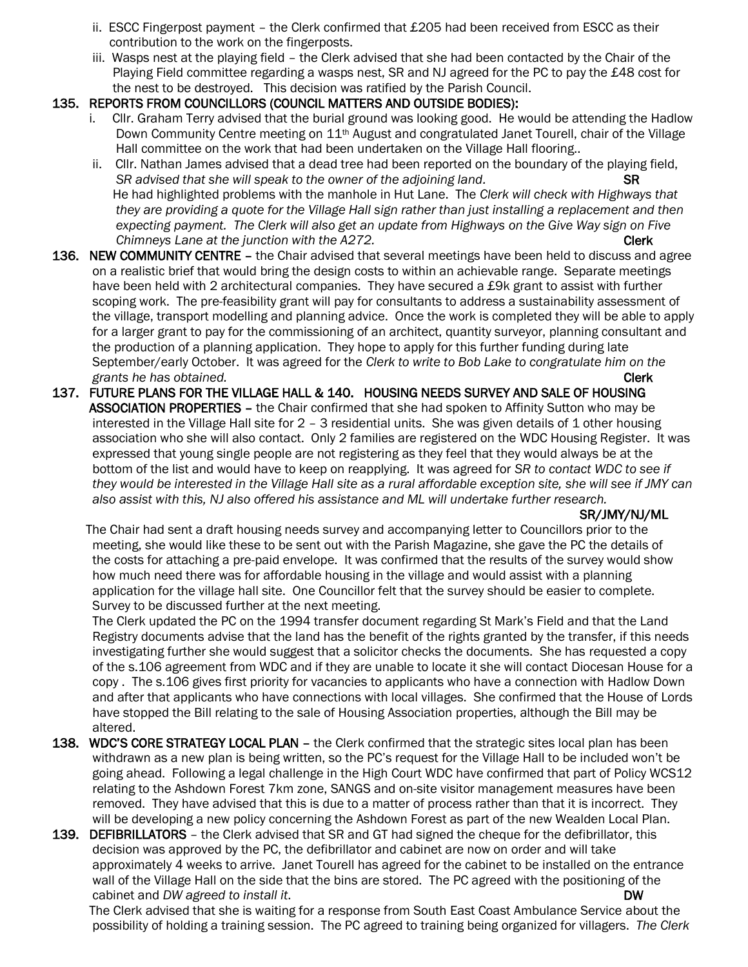- ii. ESCC Fingerpost payment the Clerk confirmed that  $£205$  had been received from ESCC as their contribution to the work on the fingerposts.
- iii. Wasps nest at the playing field the Clerk advised that she had been contacted by the Chair of the Playing Field committee regarding a wasps nest, SR and NJ agreed for the PC to pay the £48 cost for the nest to be destroyed. This decision was ratified by the Parish Council.

### 135. REPORTS FROM COUNCILLORS (COUNCIL MATTERS AND OUTSIDE BODIES):

- i. Cllr. Graham Terry advised that the burial ground was looking good. He would be attending the Hadlow Down Community Centre meeting on 11<sup>th</sup> August and congratulated Janet Tourell, chair of the Village Hall committee on the work that had been undertaken on the Village Hall flooring..
- ii. Cllr. Nathan James advised that a dead tree had been reported on the boundary of the playing field, *SR advised that she will speak to the owner of the adjoining land.* SR He had highlighted problems with the manhole in Hut Lane. The *Clerk will check with Highways that they are providing a quote for the Village Hall sign rather than just installing a replacement and then expecting payment. The Clerk will also get an update from Highways on the Give Way sign on Five Chimneys Lane at the junction with the A272.* **Charge 2008 Clerk Clerk Charge 2008 Clerk Clerk Clerk Clerk Clerk Clerk Clerk Clerk Clerk Clerk Clerk Clerk Clerk Clerk Clerk Clerk Clerk Clerk Clerk Clerk Clerk Clerk Clerk**
- 136. NEW COMMUNITY CENTRE the Chair advised that several meetings have been held to discuss and agree on a realistic brief that would bring the design costs to within an achievable range. Separate meetings have been held with 2 architectural companies. They have secured a £9k grant to assist with further scoping work. The pre-feasibility grant will pay for consultants to address a sustainability assessment of the village, transport modelling and planning advice. Once the work is completed they will be able to apply for a larger grant to pay for the commissioning of an architect, quantity surveyor, planning consultant and the production of a planning application. They hope to apply for this further funding during late September/early October. It was agreed for the *Clerk to write to Bob Lake to congratulate him on the grants he has obtained.* Clerk
- 137. FUTURE PLANS FOR THE VILLAGE HALL & 140. HOUSING NEEDS SURVEY AND SALE OF HOUSING ASSOCIATION PROPERTIES – the Chair confirmed that she had spoken to Affinity Sutton who may be interested in the Village Hall site for 2 - 3 residential units. She was given details of 1 other housing association who she will also contact. Only 2 families are registered on the WDC Housing Register. It was expressed that young single people are not registering as they feel that they would always be at the bottom of the list and would have to keep on reapplying. It was agreed for *SR to contact WDC to see if they would be interested in the Village Hall site as a rural affordable exception site, she will see if JMY can also assist with this, NJ also offered his assistance and ML will undertake further research.*

#### SR/JMY/NJ/ML

 The Chair had sent a draft housing needs survey and accompanying letter to Councillors prior to the meeting, she would like these to be sent out with the Parish Magazine, she gave the PC the details of the costs for attaching a pre-paid envelope. It was confirmed that the results of the survey would show how much need there was for affordable housing in the village and would assist with a planning application for the village hall site. One Councillor felt that the survey should be easier to complete. Survey to be discussed further at the next meeting.

 The Clerk updated the PC on the 1994 transfer document regarding St Mark's Field and that the Land Registry documents advise that the land has the benefit of the rights granted by the transfer, if this needs investigating further she would suggest that a solicitor checks the documents. She has requested a copy of the s.106 agreement from WDC and if they are unable to locate it she will contact Diocesan House for a copy . The s.106 gives first priority for vacancies to applicants who have a connection with Hadlow Down and after that applicants who have connections with local villages. She confirmed that the House of Lords have stopped the Bill relating to the sale of Housing Association properties, although the Bill may be altered.

- 138. WDC'S CORE STRATEGY LOCAL PLAN the Clerk confirmed that the strategic sites local plan has been withdrawn as a new plan is being written, so the PC's request for the Village Hall to be included won't be going ahead. Following a legal challenge in the High Court WDC have confirmed that part of Policy WCS12 relating to the Ashdown Forest 7km zone, SANGS and on-site visitor management measures have been removed. They have advised that this is due to a matter of process rather than that it is incorrect. They will be developing a new policy concerning the Ashdown Forest as part of the new Wealden Local Plan.
- 139. DEFIBRILLATORS the Clerk advised that SR and GT had signed the cheque for the defibrillator, this decision was approved by the PC, the defibrillator and cabinet are now on order and will take approximately 4 weeks to arrive. Janet Tourell has agreed for the cabinet to be installed on the entrance wall of the Village Hall on the side that the bins are stored. The PC agreed with the positioning of the cabinet and *DW agreed to install it*. DW

 The Clerk advised that she is waiting for a response from South East Coast Ambulance Service about the possibility of holding a training session. The PC agreed to training being organized for villagers. *The Clerk*